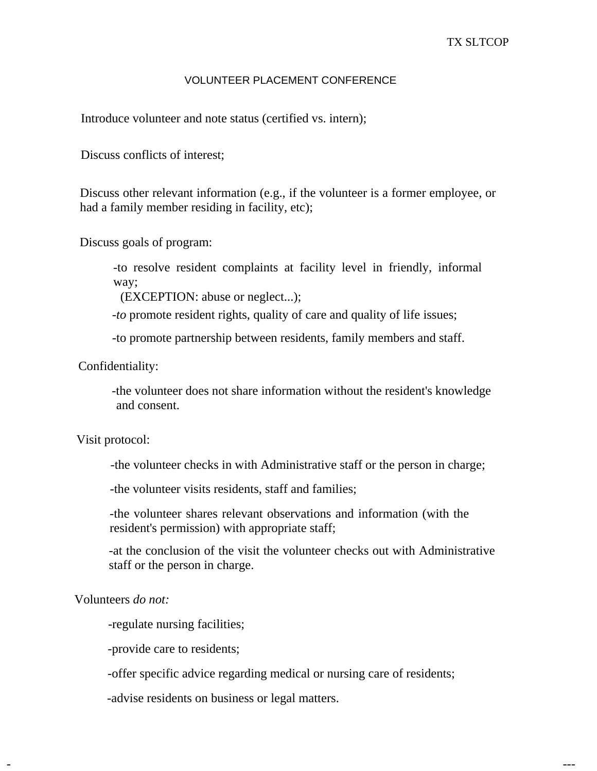## VOLUNTEER PLACEMENT CONFERENCE

Introduce volunteer and note status (certified vs. intern);

Discuss conflicts of interest;

Discuss other relevant information (e.g., if the volunteer is a former employee, or had a family member residing in facility, etc);

Discuss goals of program:

-to resolve resident complaints at facility level in friendly, informal way;

(EXCEPTION: abuse or neglect...);

*-to* promote resident rights, quality of care and quality of life issues;

-to promote partnership between residents, family members and staff.

Confidentiality:

-the volunteer does not share information without the resident's knowledge and consent.

## Visit protocol:

-the volunteer checks in with Administrative staff or the person in charge;

-the volunteer visits residents, staff and families;

-the volunteer shares relevant observations and information (with the resident's permission) with appropriate staff;

-at the conclusion of the visit the volunteer checks out with Administrative staff or the person in charge.

Volunteers *do not:* 

-regulate nursing facilities;

-provide care to residents;

-offer specific advice regarding medical or nursing care of residents;

- ---

-advise residents on business or legal matters.